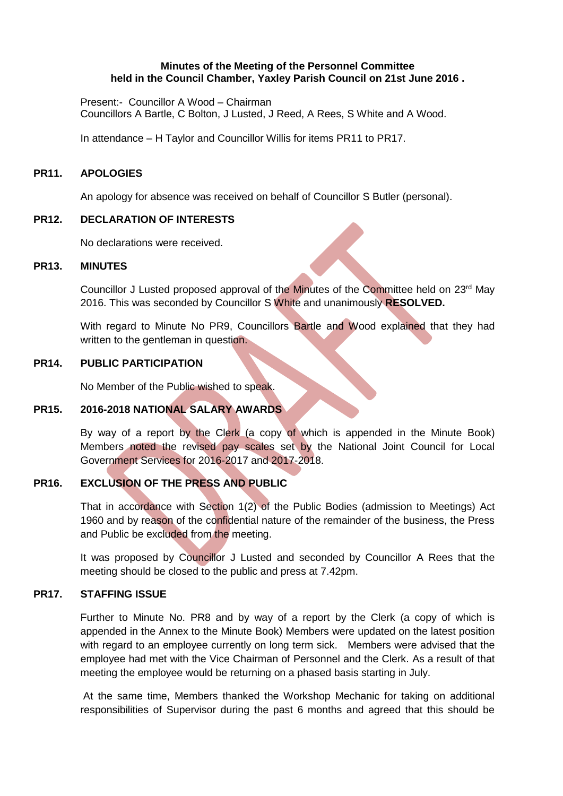#### **Minutes of the Meeting of the Personnel Committee held in the Council Chamber, Yaxley Parish Council on 21st June 2016 .**

Present:- Councillor A Wood – Chairman Councillors A Bartle, C Bolton, J Lusted, J Reed, A Rees, S White and A Wood.

In attendance – H Taylor and Councillor Willis for items PR11 to PR17.

#### **PR11. APOLOGIES**

An apology for absence was received on behalf of Councillor S Butler (personal).

#### **PR12. DECLARATION OF INTERESTS**

No declarations were received.

#### **PR13. MINUTES**

Councillor J Lusted proposed approval of the Minutes of the Committee held on 23<sup>rd</sup> May 2016. This was seconded by Councillor S White and unanimously **RESOLVED.**

With regard to Minute No PR9, Councillors Bartle and Wood explained that they had written to the gentleman in question.

### **PR14. PUBLIC PARTICIPATION**

No Member of the Public wished to speak.

### **PR15. 2016-2018 NATIONAL SALARY AWARDS**

By way of a report by the Clerk (a copy of which is appended in the Minute Book) Members noted the revised pay scales set by the National Joint Council for Local Government Services for 2016-2017 and 2017-2018.

## **PR16. EXCLUSION OF THE PRESS AND PUBLIC**

That in accordance with Section 1(2) of the Public Bodies (admission to Meetings) Act 1960 and by reason of the confidential nature of the remainder of the business, the Press and Public be excluded from the meeting.

It was proposed by Councillor J Lusted and seconded by Councillor A Rees that the meeting should be closed to the public and press at 7.42pm.

### **PR17. STAFFING ISSUE**

Further to Minute No. PR8 and by way of a report by the Clerk (a copy of which is appended in the Annex to the Minute Book) Members were updated on the latest position with regard to an employee currently on long term sick. Members were advised that the employee had met with the Vice Chairman of Personnel and the Clerk. As a result of that meeting the employee would be returning on a phased basis starting in July.

At the same time, Members thanked the Workshop Mechanic for taking on additional responsibilities of Supervisor during the past 6 months and agreed that this should be